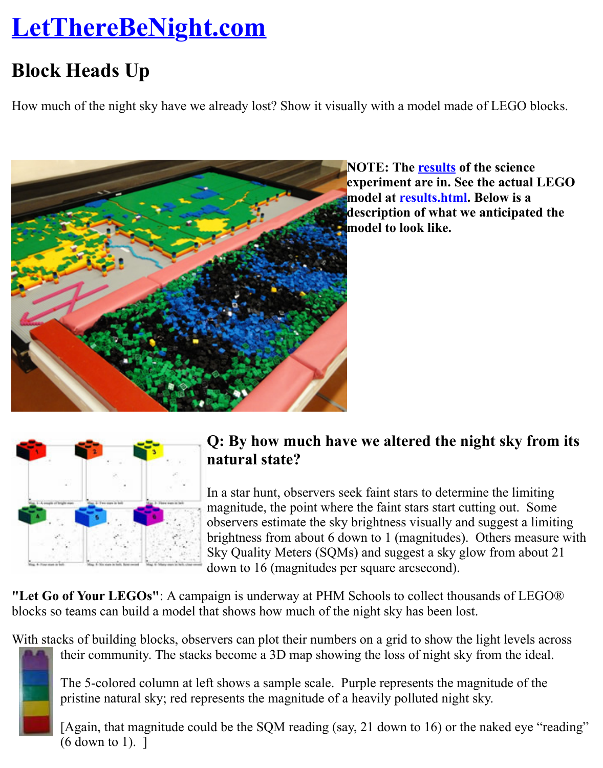How much of the night sky have we already lost? Show it visually with a model made of LEG



**NOTE: The <u>results</u> of the sci experiment are in. See the actual** model at **results.html**. Below description of what we antici **model to look like.**



## **Q:** By how much have we altered the night sk **natural state?**

In a star hunt, observers seek faint stars to determine the magnitude, the point where the faint stars start cutting out. observers estimate the sky brightness visually and suggest brightness from about 6 down to 1 (magnitudes). Others Sky Quality Meters (SQMs) and suggest a sky glow from down to 16 (magnitudes per square arcsecond).

"Let Go of Your LEGOs": A campaign is underway at PHM Schools to collect thousands of blocks so teams can build a model that shows how much of the night sky has been lost.

With stacks of building blocks, observers can plot their numbers on a grid to show the light le their community. The stacks become a 3D map showing the loss of night sky from the ideal.

The 5-colored column at left shows a sample scale. Purple represents the magnitude pristine natural sky; red represents the magnitude of a heavily polluted night sky.

[Again, that magnitude could be the SQM reading (say, 21 down to 16) or the naked (6 down to 1). ]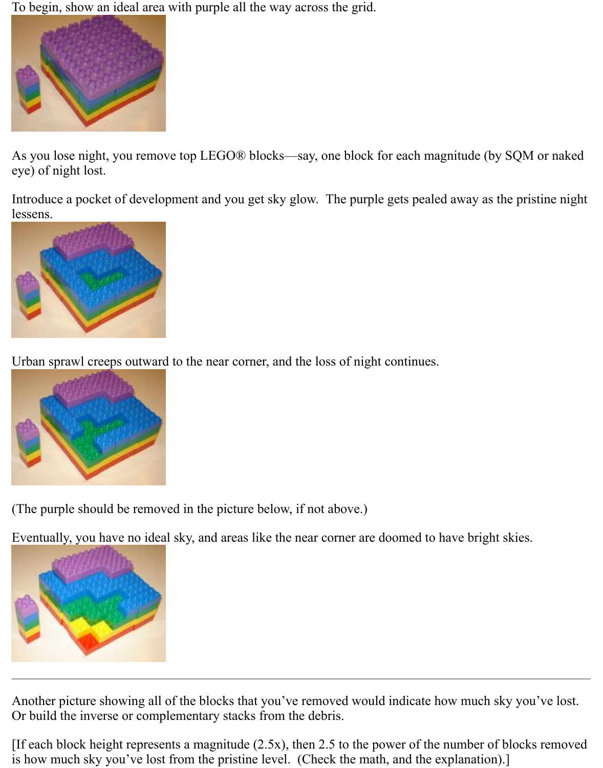To begin, show an ideal area with purple all the way across the grid.



As you lose night, you remove top LEGO® blocks—say, one block for each magnitude (by SQM or naked eye) of night lost.

Introduce a pocket of development and you get sky glow. The purple gets pealed away as the pristine night lessens.



Urban sprawl creeps outward to the near corner, and the loss of night continues.



(The purple should be removed in the picture below, if not above.)

Eventually, you have no ideal sky, and areas like the near corner are doomed to have bright skies.



Another picture showing all of the blocks that you've removed would indicate how much sky you've lost. Or build the inverse or complementary stacks from the debris.

[If each block height represents a magnitude  $(2.5x)$ , then 2.5 to the power of the number of blocks removed is how much sky you've lost from the pristine level. (Check the math, and the explanation).]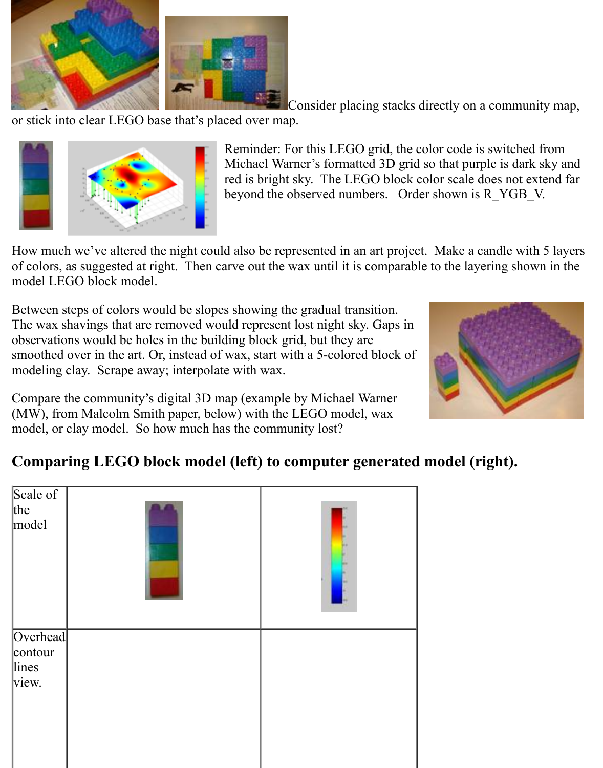

Consider placing stacks directly on a community map,

or stick into clear LEGO base that's placed over map.



Reminder: For this LEGO grid, the color code is switched from Michael Warner's formatted 3D grid so that purple is dark sky and red is bright sky. The LEGO block color scale does not extend far beyond the observed numbers. Order shown is R\_YGB\_V.

How much we've altered the night could also be represented in an art project. Make a candle with 5 layers of colors, as suggested at right. Then carve out the wax until it is comparable to the layering shown in the model LEGO block model.

Between steps of colors would be slopes showing the gradual transition. The wax shavings that are removed would represent lost night sky. Gaps in observations would be holes in the building block grid, but they are smoothed over in the art. Or, instead of wax, start with a 5-colored block of modeling clay. Scrape away; interpolate with wax.

Compare the community's digital 3D map (example by Michael Warner (MW), from Malcolm Smith paper, below) with the LEGO model, wax model, or clay model. So how much has the community lost?



## **Comparing LEGO block model (left) to computer generated model (right).**